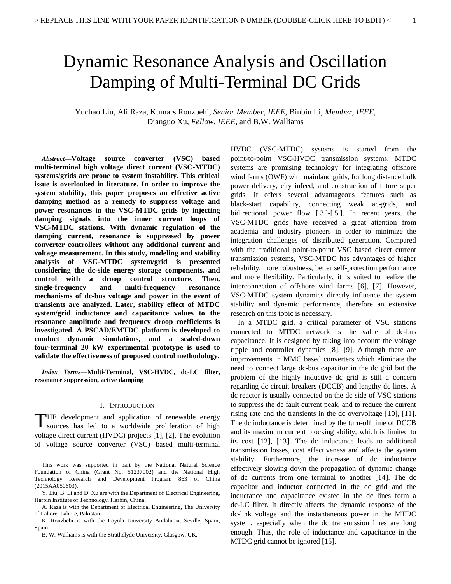# Dynamic Resonance Analysis and Oscillation Damping of Multi-Terminal DC Grids

Yuchao Liu, Ali Raza, Kumars Rouzbehi, *Senior Member*, *IEEE*, Binbin Li, *Member*, *IEEE*, Dianguo Xu, *Fellow, IEEE*, and B.W. Walliams

*Abstract***—Voltage source converter (VSC) based multi-terminal high voltage direct current (VSC-MTDC) systems/grids are prone to system instability. This critical issue is overlooked in literature. In order to improve the system stability, this paper proposes an effective active damping method as a remedy to suppress voltage and power resonances in the VSC-MTDC grids by injecting damping signals into the inner current loops of VSC-MTDC stations. With dynamic regulation of the damping current, resonance is suppressed by power converter controllers without any additional current and voltage measurement. In this study, modeling and stability analysis of VSC-MTDC system/grid is presented considering the dc-side energy storage components, and control with a droop control structure. Then, single-frequency and multi-frequency resonance mechanisms of dc-bus voltage and power in the event of transients are analyzed. Later, stability effect of MTDC system/grid inductance and capacitance values to the resonance amplitude and frequency droop coefficients is investigated. A PSCAD/EMTDC platform is developed to conduct dynamic simulations, and a scaled-down four-terminal 20 kW experimental prototype is used to validate the effectiveness of proposed control methodology.**

*Index Terms***—Multi-Terminal, VSC-HVDC, dc-LC filter, resonance suppression, active damping**

## I. INTRODUCTION

THE development and application of renewable energy THE development and application of renewable energy sources has led to a worldwide proliferation of high voltage direct current (HVDC) projects [1], [2]. The evolution of voltage source converter (VSC) based multi-terminal

This work was supported in part by the National Natural Science Foundation of China (Grant No. 51237002) and the National High Technology Research and Development Program 863 of China (2015AA050603).

Y. Liu, B. Li and D. Xu are with the Department of Electrical Engineering, Harbin Institute of Technology, Harbin, China.

A. Raza is with the Department of Electrical Engineering, The University of Lahore, Lahore, Pakistan.

K. Rouzbehi is with the Loyola University Andalucia, Seville, Spain, Spain.

B. W. Walliams is with the Strathclyde University, Glasgow, UK.

HVDC (VSC-MTDC) systems is started from the point-to-point VSC-HVDC transmission systems. MTDC systems are promising technology for integrating offshore wind farms (OWF) with mainland grids, for long distance bulk power delivery, city infeed, and construction of future super grids. It offers several advantageous features such as black-start capability, connecting weak ac-grids, and bidirectional power flow [ 3 ]-[ 5 ]. In recent years, the VSC-MTDC grids have received a great attention from academia and industry pioneers in order to minimize the integration challenges of distributed generation. Compared with the traditional point-to-point VSC based direct current transmission systems, VSC-MTDC has advantages of higher reliability, more robustness, better self-protection performance and more flexibility. Particularly, it is suited to realize the interconnection of offshore wind farms [6], [7]. However, VSC-MTDC system dynamics directly influence the system stability and dynamic performance, therefore an extensive research on this topic is necessary.

<span id="page-0-1"></span><span id="page-0-0"></span>In a MTDC grid, a critical parameter of VSC stations connected to MTDC network is the value of dc-bus capacitance. It is designed by taking into account the voltage ripple and controller dynamics [8], [9]. Although there are improvements in MMC based converters which eliminate the need to connect large dc-bus capacitor in the dc grid but the problem of the highly inductive dc grid is still a concern regarding dc circuit breakers (DCCB) and lengthy dc lines. A dc reactor is usually connected on the dc side of VSC stations to suppress the dc fault current peak, and to reduce the current rising rate and the transients in the dc overvoltage [10], [11]. The dc inductance is determined by the turn-off time of DCCB and its maximum current blocking ability, which is limited to its cost [12], [13]. The dc inductance leads to additional transmission losses, cost effectiveness and affects the system stability. Furthermore, the increase of dc inductance effectively slowing down the propagation of dynamic change of dc currents from one terminal to another [14]. The dc capacitor and inductor connected in the dc grid and the inductance and capacitance existed in the dc lines form a dc-LC filter. It directly affects the dynamic response of the dc-link voltage and the instantaneous power in the MTDC system, especially when the dc transmission lines are long enough. Thus, the role of inductance and capacitance in the MTDC grid cannot be ignored [15].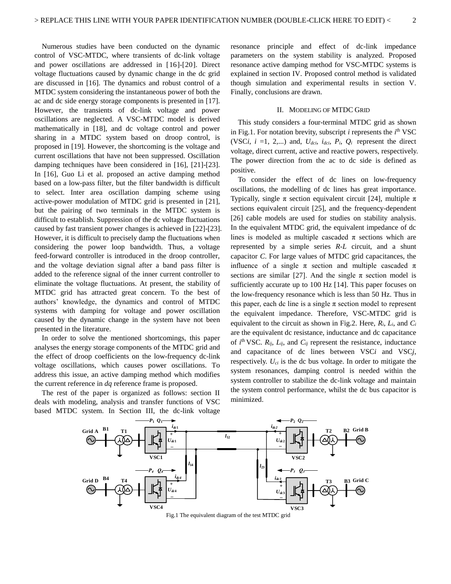Numerous studies have been conducted on the dynamic control of VSC-MTDC, where transients of dc-link voltage and power oscillations are addressed in [16]-[20]. Direct voltage fluctuations caused by dynamic change in the dc grid are discussed in [\[16\]](#page-1-0). The dynamics and robust control of a MTDC system considering the instantaneous power of both the ac and dc side energy storage components is presented in [\[17\]](#page-1-1). However, the transients of dc-link voltage and power oscillations are neglected. A VSC-MTDC model is derived mathematically in [\[18\]](#page-1-2), and dc voltage control and power sharing in a MTDC system based on droop control, is proposed in [\[19\]](#page-1-2). However, the shortcoming is the voltage and current oscillations that have not been suppressed. Oscillation damping techniques have been considered in [\[16\]](#page-1-0), [21]-[23]. In [\[16\]](#page-1-0), Guo Li et al. proposed an active damping method based on a low-pass filter, but the filter bandwidth is difficult to select. Inter area oscillation damping scheme using active-power modulation of MTDC grid is presented in [\[21\]](#page-1-3), but the pairing of two terminals in the MTDC system is difficult to establish. Suppression of the dc voltage fluctuations caused by fast transient power changes is achieved in [22]-[\[23\]](#page-1-4). However, it is difficult to precisely damp the fluctuations when considering the power loop bandwidth. Thus, a voltage feed-forward controller is introduced in the droop controller, and the voltage deviation signal after a band pass filter is added to the reference signal of the inner current controller to eliminate the voltage fluctuations. At present, the stability of MTDC grid has attracted great concern. To the best of authors' knowledge, the dynamics and control of MTDC systems with damping for voltage and power oscillation caused by the dynamic change in the system have not been presented in the literature.

In order to solve the mentioned shortcomings, this paper analyses the energy storage components of the MTDC grid and the effect of droop coefficients on the low-frequency dc-link voltage oscillations, which causes power oscillations. To address this issue, an active damping method which modifies the current reference in *dq* reference frame is proposed.

The rest of the paper is organized as follows: section II deals with modeling, analysis and transfer functions of VSC based MTDC system. In Section III, the dc-link voltage <span id="page-1-2"></span><span id="page-1-1"></span><span id="page-1-0"></span>resonance principle and effect of dc-link impedance parameters on the system stability is analyzed. Proposed resonance active damping method for VSC-MTDC systems is explained in section IV. Proposed control method is validated though simulation and experimental results in section V. Finally, conclusions are drawn.

## II. MODELING OF MTDC GRID

This study considers a four-terminal MTDC grid as shown in [Fig.1.](#page-1-5) For notation brevity, subscript  $i$  represents the  $i<sup>th</sup>$  VSC (VSC*i*,  $i = 1, 2,...$ ) and,  $U_{di}$ ,  $i_{dci}$ ,  $P_i$ ,  $Q_i$  represent the direct voltage, direct current, active and reactive powers, respectively. The power direction from the ac to dc side is defined as positive.

<span id="page-1-4"></span><span id="page-1-3"></span>To consider the effect of dc lines on low-frequency oscillations, the modelling of dc lines has great importance. Typically, single  $\pi$  section equivalent circuit [24], multiple  $\pi$ sections equivalent circuit [25], and the frequency-dependent [26] cable models are used for studies on stability analysis. In the equivalent MTDC grid, the equivalent impedance of dc lines is modeled as multiple cascaded  $\pi$  sections which are represented by a simple series *R*-*L* circuit, and a shunt capacitor *C*. For large values of MTDC grid capacitances, the influence of a single  $\pi$  section and multiple cascaded  $\pi$ sections are similar [27]. And the single  $\pi$  section model is sufficiently accurate up to 100 Hz [\[14\]](#page-0-0). This paper focuses on the low-frequency resonance which is less than 50 Hz. Thus in this paper, each dc line is a single  $\pi$  section model to represent the equivalent impedance. Therefore, VSC-MTDC grid is equivalent to the circuit as shown in Fig.2. Here, *Ri*, *Li*, and *C<sup>i</sup>* are the equivalent dc resistance, inductance and dc capacitance of  $i^{\text{th}}$  VSC.  $R_{ij}$ ,  $L_{ij}$ , and  $C_{ij}$  represent the resistance, inductance and capacitance of dc lines between VSC*i* and VSC*j*, respectively. *Uci* is the dc bus voltage. In order to mitigate the system resonances, damping control is needed within the system controller to stabilize the dc-link voltage and maintain the system control performance, whilst the dc bus capacitor is minimized.

<span id="page-1-5"></span>

Fig.1 The equivalent diagram of the test MTDC grid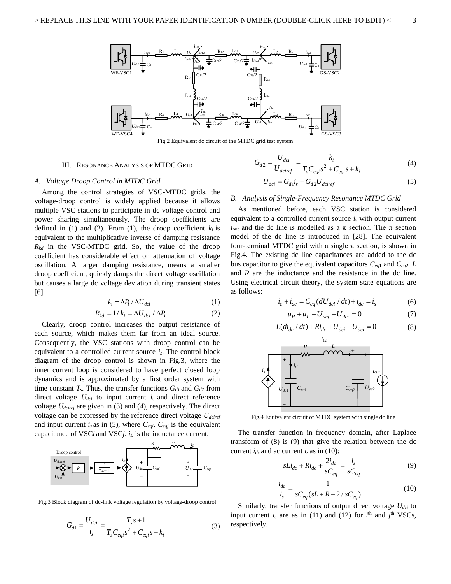

Fig.2 Equivalent dc circuit of the MTDC grid test system

## III. RESONANCE ANALYSIS OF MTDC GRID

*A. Voltage Droop Control in MTDC Grid*

$$
G_{d2} = \frac{U_{dci}}{U_{dciref}} = \frac{k_i}{T_s C_{eqi} s^2 + C_{eqi} s + k_i}
$$
(4)

$$
U_{dci} = G_{d1}i_s + G_{d2}U_{dciref}
$$
 (5)

## Among the control strategies of VSC-MTDC grids, the

voltage-droop control is widely applied because it allows multiple VSC stations to participate in dc voltage control and power sharing simultaneously. The droop coefficients are defined in (1) and (2). From (1), the droop coefficient  $k_i$  is equivalent to the multiplicative inverse of damping resistance  $R_{kd}$  in the VSC-MTDC grid. So, the value of the droop coefficient has considerable effect on attenuation of voltage oscillation. A larger damping resistance, means a smaller droop coefficient, quickly damps the direct voltage oscillation but causes a large dc voltage deviation during transient states [\[6\]](#page-0-1).

$$
k_i = \Delta P_i / \Delta U_{dci}
$$
 (1)

$$
R_{kd} = 1 / k_i = \Delta U_{dci} / \Delta P_i
$$
 (2)

Clearly, droop control increases the output resistance of each source, which makes them far from an ideal source. Consequently, the VSC stations with droop control can be equivalent to a controlled current source *is*. The control block diagram of the droop control is shown in Fig.3, where the inner current loop is considered to have perfect closed loop dynamics and is approximated by a first order system with time constant  $T_s$ . Thus, the transfer functions  $G_{d1}$  and  $G_{d2}$  from direct voltage  $U_{dci}$  to input current  $i_s$  and direct reference voltage *Udciref* are given in (3) and (4), respectively. The direct voltage can be expressed by the reference direct voltage *Udciref* and input current  $i_s$  as in (5), where  $C_{eqi}$ ,  $C_{eqj}$  is the equivalent capacitance of VSC*i* and VSC*j*. *i<sup>L</sup>* is the inductance current.



Fig.3 Block diagram of dc-link voltage regulation by voltage-droop control

$$
G_{d1} = \frac{U_{dci}}{i_s} = \frac{T_s s + 1}{T_s C_{eqi} s^2 + C_{eqi} s + k_i}
$$
(3)

$$
U_{\text{dec}} = G_{\text{d1}} i_x + G_{\text{d2}} U_{\text{dec}} \tag{5}
$$

## *B. Analysis of Single-Frequency Resonance MTDC Grid*

As mentioned before, each VSC station is considered equivalent to a controlled current source  $i<sub>s</sub>$  with output current  $i_{\text{out}}$  and the dc line is modelled as a  $\pi$  section. The  $\pi$  section model of the dc line is introduced in [28]. The equivalent four-terminal MTDC grid with a single  $\pi$  section, is shown in [Fig.4.](#page-2-0) The existing dc line capacitances are added to the dc bus capacitor to give the equivalent capacitors *Ceq*<sup>1</sup> and *Ceq*2. *L* and *R* are the inductance and the resistance in the dc line. Using electrical circuit theory, the system state equations are as follows:

$$
i_c + i_{dc} = C_{eq} (dU_{dci} / dt) + i_{dc} = i_s
$$
 (6)

$$
u_R + u_L + U_{dcj} - U_{dci} = 0
$$
 (7)

$$
L(di_{dc} / dt) + Ri_{dc} + U_{dcj} - U_{dci} = 0
$$
 (8)



Fig.4 Equivalent circuit of MTDC system with single dc line

<span id="page-2-0"></span>The transfer function in frequency domain, after Laplace transform of (8) is (9) that give the relation between the dc current  $i_{dc}$  and ac current  $i_s$  as in (10):

$$
sLi_{dc} + Ri_{dc} + \frac{2i_{dc}}{sC_{eq}} = \frac{i_s}{sC_{eq}}
$$
 (9)

$$
\frac{i_{dc}}{i_s} = \frac{1}{sC_{eq}(sL + R + 2/sC_{eq})}
$$
(10)

Similarly, transfer functions of output direct voltage *Udci* to input current  $i_s$  are as in (11) and (12) for  $i^{\text{th}}$  and  $j^{\text{th}}$  VSCs, respectively.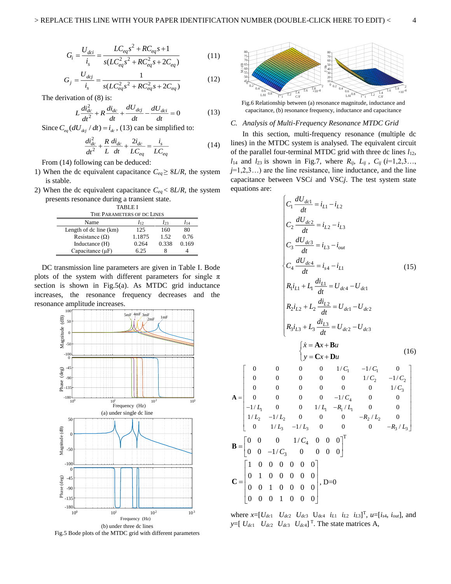$A =$ 

**B**

**C**

$$
G_i = \frac{U_{dci}}{i_s} = \frac{LC_{eq}s^2 + RC_{eq}s + 1}{s(LC_{eq}^2s^2 + RC_{eq}^2s + 2C_{eq})}
$$
(11)

$$
G_j = \frac{U_{dcj}}{i_s} = \frac{1}{s(LC_{eq}^2 s^2 + RC_{eq}^2 s + 2C_{eq})}
$$
(12)

The derivation of (8) is:

$$
L\frac{di_{dc}^2}{dt^2} + R\frac{di_{dc}}{dt} + \frac{dU_{dcj}}{dt} - \frac{dU_{dci}}{dt} = 0
$$
 (13)

Since  $C_{eq}(dU_{\text{dcj}}/dt) = i_{dc}$ , (13) can be simplified to:

$$
\frac{di_{dc}^2}{dt^2} + \frac{R}{L}\frac{di_{dc}}{dt} + \frac{2i_{dc}}{LC_{eq}} = \frac{i_s}{LC_{eq}}\tag{14}
$$

From (14) following can be deduced:

- 1) When the dc equivalent capacitance  $C_{eq} \geq 8L/R$ , the system is stable.
- 2) When the dc equivalent capacitance  $C_{eq}$  < 8*L/R*, the system presents resonance during a transient state.

| <b>TABLE I</b>             |        |       |       |  |
|----------------------------|--------|-------|-------|--|
| THE PARAMETERS OF DC LINES |        |       |       |  |
| Name                       | l 12   | lэз   | l 14  |  |
| Length of dc line (km)     | 125    | 160   | 80    |  |
| Resistance $(\Omega)$      | 1.1875 | 1.52  | 0.76  |  |
| Inductance (H)             | 0.264  | 0.338 | 0.169 |  |
| Capacitance $(\mu F)$      | 6.25   | 8     |       |  |

DC transmission line parameters are given in Table I. Bode plots of the system with different parameters for single  $\pi$ section is shown in [Fig.5\(](#page-3-0)a). As MTDC grid inductance increases, the resonance frequency decreases and the resonance amplitude increases.



<span id="page-3-0"></span>Fig.5 Bode plots of the MTDC grid with different parameters



<span id="page-3-1"></span>Fig.6 Relationship between (a) resonance magnitude, inductance and capacitance, (b) resonance frequency, inductance and capacitance

## *C. Analysis of Multi-Frequency Resonance MTDC Grid*

In this section, multi-frequency resonance (multiple dc lines) in the MTDC system is analysed. The equivalent circuit of the parallel four-terminal MTDC grid with three dc lines *l*12, *l*<sub>14</sub> and *l*<sub>23</sub> is shown in [Fig.7,](#page-4-0) where  $R_{ij}$ ,  $L_{ij}$ ,  $C_{ij}$  (*i*=1,2,3…,  $j=1,2,3...$ ) are the line resistance, line inductance, and the line capacitance between VSC*i* and VSC*j*. The test system state equations are:

$$
\begin{bmatrix}\nC_1 \frac{dU_{dcl}}{dt} = i_{L1} - i_{L2} \\
C_2 \frac{dU_{dc2}}{dt} = i_{L2} - i_{L3} \\
C_3 \frac{dU_{dc3}}{dt} = i_{L3} - i_{out} \\
C_4 \frac{dU_{dc4}}{dt} = i_{s4} - i_{L1} \\
R_1 i_{L1} + L_1 \frac{di_{L1}}{dt} = U_{dc4} - U_{dc1} \\
R_2 i_{L2} + L_2 \frac{di_{L2}}{dt} = U_{dc2} - U_{dc3} \\
I_3 i_{L3} + L_3 \frac{di_{L3}}{dt} = U_{dc2} - U_{dc3} \\
j_x = \mathbf{C}x + \mathbf{D}u \\
y = \mathbf{C}x + \mathbf{D}u \\
0 & 0 & 0 & 0 & 1/C_1 & -1/C_1 & 0 \\
0 & 0 & 0 & 0 & 0 & 1/C_2 & -1/C_2 \\
0 & 0 & 0 & 0 & 0 & 0 & 1/C_3 \\
-1/L_1 & 0 & 0 & 1/L_1 & -R_1/L_1 & 0 & 0 \\
1/L_2 & -1/L_2 & 0 & 0 & 0 & -R_2/L_2 & 0 \\
0 & 1/L_3 & -1/L_3 & 0 & 0 & 0 & -R_3/L_3\n\end{bmatrix}
$$
\n
$$
\begin{bmatrix}\n0 & 0 & 0 & 1/C_4 & 0 & 0 & 0 \\
0 & 0 & 0 & 0 & 0 & 0 \\
0 & 0 & -1/C_3 & 0 & 0 & 0 & 0 \\
0 & 0 & 0 & 0 & 0 & 0 & 0 \\
0 & 0 & 0 & 0 & 0 & 0 & 0 \\
0 & 0 & 0 & 0 & 0 & 0 & 0\n\end{bmatrix}
$$
\n
$$
\begin{bmatrix}\n1 & 0 & 0 & 0 & 0 & 0 & 0 \\
0 & 1 & 0 & 0 & 0 & 0 & 0 \\
0 & 0 & 0 & 1 & 0 & 0 & 0 \\
0 & 0 & 0 & 0 & 0 & 0 & 0 \\
0 & 0 & 0 & 0 & 0 & 0 & 0 \\
0 & 0 & 0 & 0 & 0 & 0 & 0\n\end{bmatrix}, \mathbf{D} = 0
$$

where  $x=[U_{dc1} \quad U_{dc2} \quad U_{dc3} \quad U_{dc4} \quad i_{L1} \quad i_{L2} \quad i_{L3}]^{T}$ ,  $u=[i_{s4}, i_{out}]$ , and  $y=[ U_{dc1} \quad U_{dc2} \quad U_{dc3} \quad U_{dc4}]$ <sup>T</sup>. The state matrices A,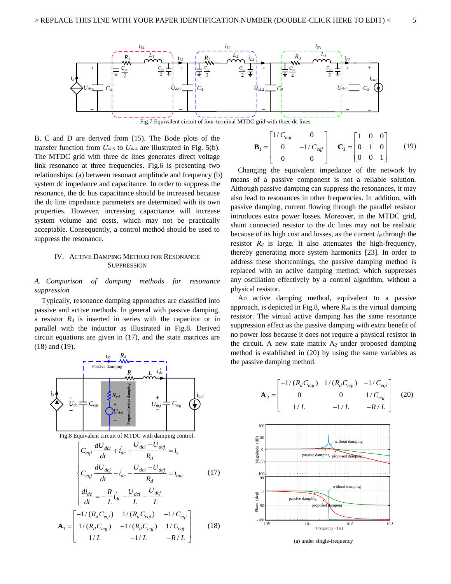

Fig.7 Equivalent circuit of four-terminal MTDC grid with three dc lines

<span id="page-4-0"></span>B, C and D are derived from (15). The Bode plots of the transfer function from  $U_{dc3}$  to  $U_{dc4}$  are illustrated in Fig. 5(b). The MTDC grid with three dc lines generates direct voltage link resonance at three frequencies. Fig.6 is presenting two relationships: (a) between resonant amplitude and frequency (b) system dc impedance and capacitance. In order to suppress the resonance, the dc bus capacitance should be increased because the dc line impedance parameters are determined with its own properties. However, increasing capacitance will increase system volume and costs, which may not be practically acceptable. Consequently, a control method should be used to suppress the resonance.

## IV. ACTIVE DAMPING METHOD FOR RESONANCE **SUPPRESSION**

## *A. Comparison of damping methods for resonance suppression*

Typically, resonance damping approaches are classified into passive and active methods. In general with passive damping, a resistor *R<sup>d</sup>* is inserted in series with the capacitor or in parallel with the inductor as illustrated in [Fig.8.](#page-4-1) Derived circuit equations are given in (17), and the state matrices are (18) and (19).

<span id="page-4-1"></span>

$$
\mathbf{B}_{1} = \begin{bmatrix} 1/C_{eqi} & 0 \\ 0 & -1/C_{eqj} \\ 0 & 0 \end{bmatrix} \quad \mathbf{C}_{1} = \begin{bmatrix} 1 & 0 & 0 \\ 0 & 1 & 0 \\ 0 & 0 & 1 \end{bmatrix}
$$
(19)

Changing the equivalent impedance of the network by means of a passive component is not a reliable solution. Although passive damping can suppress the resonances, it may also lead to resonances in other frequencies. In addition, with passive damping, current flowing through the parallel resistor introduces extra power losses. Moreover, in the MTDC grid, shunt connected resistor to the dc lines may not be realistic because of its high cost and losses, as the current  $i_R$  through the resistor *R<sup>d</sup>* is large. It also attenuates the high-frequency, thereby generating more system harmonics [\[23\]](#page-1-4). In order to address these shortcomings, the passive damping method is replaced with an active damping method, which suppresses any oscillation effectively by a control algorithm, without a physical resistor.

An active damping method, equivalent to a passive approach, is depicted i[n Fig.8,](#page-4-1) where  $R_{vd}$  is the virtual damping resistor. The virtual active damping has the same resonance suppression effect as the passive damping with extra benefit of no power loss because it does not require a physical resistor in the circuit. A new state matrix  $A_2$  under proposed damping method is established in (20) by using the same variables as the passive damping method.

$$
\mathbf{A}_{2} = \begin{bmatrix} -1/(R_{d}C_{eqi}) & 1/(R_{d}C_{eqi}) & -1/C_{eqi} \\ 0 & 0 & 1/C_{eqi} \\ 1/L & -1/L & -R/L \end{bmatrix}
$$
 (20)



(a) under single-frequency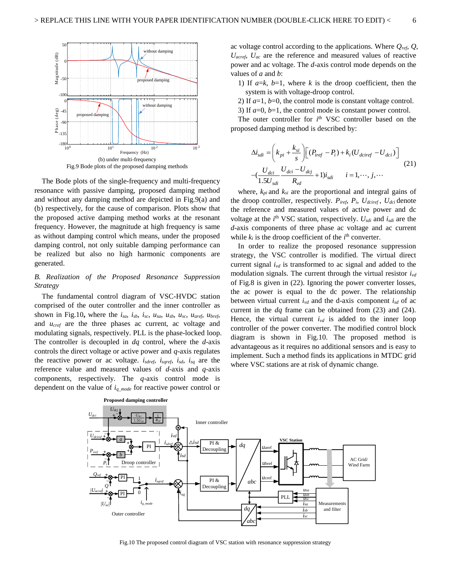

<span id="page-5-0"></span>The Bode plots of the single-frequency and multi-frequency resonance with passive damping, proposed damping method and without any damping method are depicted in [Fig.9\(](#page-5-0)a) and (b) respectively, for the cause of comparison. Plots show that the proposed active damping method works at the resonant frequency. However, the magnitude at high frequency is same as without damping control which means, under the proposed damping control, not only suitable damping performance can be realized but also no high harmonic components are generated.

## *B. Realization of the Proposed Resonance Suppression Strategy*

The fundamental control diagram of VSC-HVDC station comprised of the outer controller and the inner controller as shown in [Fig.10](#page-5-1)**,** where the *isa*, *isb*, *isc*, *usa*, *usb*, *usc*, *uaref*, *ubref*, and *ucref* are the three phases ac current, ac voltage and modulating signals, respectively. PLL is the phase-locked loop. The controller is decoupled in *dq* control, where the *d*-axis controls the direct voltage or active power and *q*-axis regulates the reactive power or ac voltage. *isdref*, *isqref*, *isd*, *isq* are the reference value and measured values of *d*-axis and *q*-axis components, respectively. The *q*-axis control mode is dependent on the value of *iq\_mode* for reactive power control or

ac voltage control according to the applications. Where *Qref*, *Q*, *Uacref*, *Uac* are the reference and measured values of reactive power and ac voltage. The *d*-axis control mode depends on the values of *a* and *b*:

- 1) If  $a=k$ ,  $b=1$ , where k is the droop coefficient, then the system is with voltage-droop control.
- 2) If *a*=1, *b*=0, the control mode is constant voltage control.
- 3) If *a*=0, *b*=1, the control mode is constant power control.

The outer controller for *i*<sup>th</sup> VSC controller based on the proposed damping method is described by:

$$
\Delta i_{sdi} = \left(k_{pi} + \frac{k_{si}}{s}\right) \left[ (P_{iref} - P_i) + k_i (U_{dciref} - U_{dci}) \right]
$$
  

$$
- \left(\frac{U_{dci}}{1.5U_{sdi}} \frac{U_{dci} - U_{dcj}}{R_{vd}} + 1\right) i_{sdi} \qquad i = 1, \cdots, j, \cdots
$$
 (21)

where, *kpi* and *ksi* are the proportional and integral gains of the droop controller, respectively. *Piref*, *Pi*, *Udciref* , *Udci* denote the reference and measured values of active power and dc voltage at the  $i<sup>th</sup>$  VSC station, respectively.  $U_{sdi}$  and  $i_{sdi}$  are the *d*-axis components of three phase ac voltage and ac current while  $k_i$  is the droop coefficient of the  $i^{\text{th}}$  converter.

In order to realize the proposed resonance suppression strategy, the VSC controller is modified. The virtual direct current signal *ivd* is transformed to ac signal and added to the modulation signals. The current through the virtual resistor *ivd* of [Fig.8](#page-4-1) is given in (22). Ignoring the power converter losses, the ac power is equal to the dc power. The relationship between virtual current  $i_{vd}$  and the d-axis component  $i_{sd}$  of ac current in the *dq* frame can be obtained from (23) and (24). Hence, the virtual current *ivd* is added to the inner loop controller of the power converter. The modified control block diagram is shown in Fig.10. The proposed method is advantageous as it requires no additional sensors and is easy to implement. Such a method finds its applications in MTDC grid where VSC stations are at risk of dynamic change.



<span id="page-5-1"></span>Fig.10 The proposed control diagram of VSC station with resonance suppression strategy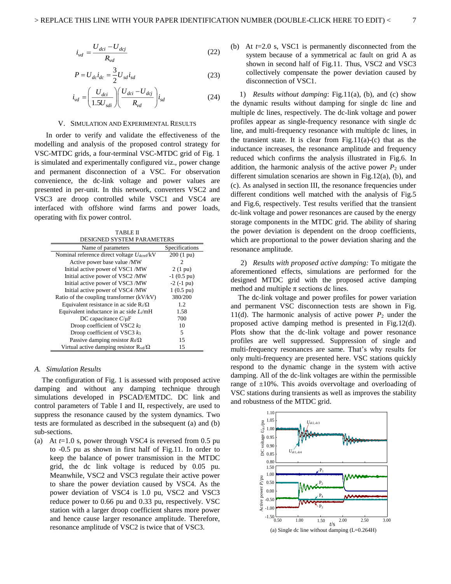$$
i_{vd} = \frac{U_{dci} - U_{dcj}}{R_{vd}}\tag{22}
$$

$$
P = U_{dc} i_{dc} = \frac{3}{2} U_{sd} i_{sd}
$$
 (23)

$$
i_{vd} = \left(\frac{U_{dci}}{1.5U_{sdi}}\right) \left(\frac{U_{dci} - U_{dcj}}{R_{vd}}\right) i_{sd}
$$
(24)

#### V. SIMULATION AND EXPERIMENTAL RESULTS

In order to verify and validate the effectiveness of the modelling and analysis of the proposed control strategy for VSC-MTDC grids, a four-terminal VSC-MTDC grid of Fig. 1 is simulated and experimentally configured viz., power change and permanent disconnection of a VSC. For observation convenience, the dc-link voltage and power values are presented in per-unit. In this network, converters VSC2 and VSC3 are droop controlled while VSC1 and VSC4 are interfaced with offshore wind farms and power loads, operating with fix power control.

TABLE II DESIGNED SYSTEM PARAMETERS

| DESIGNED SYSTEM PARAMETERS                             |                     |  |  |
|--------------------------------------------------------|---------------------|--|--|
| Name of parameters                                     | Specifications      |  |  |
| Nominal reference direct voltage $U_{\text{deref}}/kV$ | $200(1 \text{ pu})$ |  |  |
| Active power base value /MW                            | 2                   |  |  |
| Initial active power of VSC1 /MW                       | $2(1 \text{ pu})$   |  |  |
| Initial active power of VSC2 /MW                       | $-1$ (0.5 pu)       |  |  |
| Initial active power of VSC3 /MW                       | $-2$ ( $-1$ pu)     |  |  |
| Initial active power of VSC4 /MW                       | $1(0.5 \text{ pu})$ |  |  |
| Ratio of the coupling transformer $(kV/kV)$            | 380/200             |  |  |
| Equivalent resistance in ac side $R_i/\Omega$          | 1.2                 |  |  |
| Equivalent inductance in ac side $L_i/mH$              | 1.58                |  |  |
| DC capacitance $C/\mu F$                               | 700                 |  |  |
| Droop coefficient of VSC2 $k_2$                        | 10                  |  |  |
| Droop coefficient of VSC3 $k_3$                        | 5                   |  |  |
| Passive damping resistor $R_d/\Omega$                  | 15                  |  |  |
| Virtual active damping resistor $R_{vd}/\Omega$        | 15                  |  |  |

#### *A. Simulation Results*

The configuration of Fig. 1 is assessed with proposed active damping and without any damping technique through simulations developed in PSCAD/EMTDC. DC link and control parameters of Table I and II, respectively, are used to suppress the resonance caused by the system dynamics. Two tests are formulated as described in the subsequent (a) and (b) sub-sections.

(a) At  $t=1.0$  s, power through VSC4 is reversed from 0.5 pu to -0.5 pu as shown in first half of Fig.11. In order to keep the balance of power transmission in the MTDC grid, the dc link voltage is reduced by 0.05 pu. Meanwhile, VSC2 and VSC3 regulate their active power to share the power deviation caused by VSC4. As the power deviation of VSC4 is 1.0 pu, VSC2 and VSC3 reduce power to 0.66 pu and 0.33 pu, respectively. VSC station with a larger droop coefficient shares more power and hence cause larger resonance amplitude. Therefore, resonance amplitude of VSC2 is twice that of VSC3.

(b) At *t*=2.0 s, VSC1 is permanently disconnected from the system because of a symmetrical ac fault on grid A as shown in second half of Fig.11. Thus, VSC2 and VSC3 collectively compensate the power deviation caused by disconnection of VSC1.

1) *Results without damping*: [Fig.11\(](#page-7-0)a), (b), and (c) show the dynamic results without damping for single dc line and multiple dc lines, respectively. The dc-link voltage and power profiles appear as single-frequency resonance with single dc line, and multi-frequency resonance with multiple dc lines, in the transient state. It is clear from [Fig.11\(](#page-7-0)a)-(c) that as the inductance increases, the resonance amplitude and frequency reduced which confirms the analysis illustrated in [Fig.6.](#page-3-1) In addition, the harmonic analysis of the active power  $P_2$  under different simulation scenarios are shown in [Fig.12\(](#page-7-1)a), (b), and (c). As analysed in section III, the resonance frequencies under different conditions well matched with the analysis of Fig.5 and Fig.6, respectively. Test results verified that the transient dc-link voltage and power resonances are caused by the energy storage components in the MTDC grid. The ability of sharing the power deviation is dependent on the droop coefficients, which are proportional to the power deviation sharing and the resonance amplitude.

2) *Results with proposed active damping:* To mitigate the aforementioned effects, simulations are performed for the designed MTDC grid with the proposed active damping method and multiple  $\pi$  sections dc lines.

The dc-link voltage and power profiles for power variation and permanent VSC disconnection tests are shown in Fig. 11(d). The harmonic analysis of active power  $P_2$  under the proposed active damping method is presented in [Fig.12\(](#page-7-1)d). Plots show that the dc-link voltage and power resonance profiles are well suppressed. Suppression of single and multi-frequency resonances are same. That's why results for only multi-frequency are presented here. VSC stations quickly respond to the dynamic change in the system with active damping. All of the dc-link voltages are within the permissible range of  $\pm 10\%$ . This avoids overvoltage and overloading of VSC stations during transients as well as improves the stability and robustness of the MTDC grid.

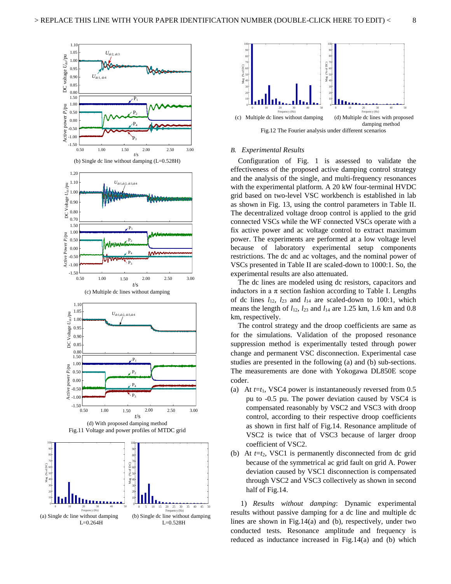

<span id="page-7-0"></span> $I=0.264H$   $I=0.528H$ 



Fig.12 The Fourier analysis under different scenarios

## <span id="page-7-1"></span>*B. Experimental Results*

 Configuration of Fig. 1 is assessed to validate the effectiveness of the proposed active damping control strategy and the analysis of the single, and multi-frequency resonances with the experimental platform. A 20 kW four-terminal HVDC grid based on two-level VSC workbench is established in lab as shown in Fig. 13, using the control parameters in Table II. The decentralized voltage droop control is applied to the grid connected VSCs while the WF connected VSCs operate with a fix active power and ac voltage control to extract maximum power. The experiments are performed at a low voltage level because of laboratory experimental setup components restrictions. The dc and ac voltages, and the nominal power of VSCs presented in Table II are scaled-down to 1000:1. So, the experimental results are also attenuated.

The dc lines are modeled using dc resistors, capacitors and inductors in a  $\pi$  section fashion according to Table I. Lengths of dc lines *l*12, *l*<sup>23</sup> and *l*<sup>14</sup> are scaled-down to 100:1, which means the length of *l*12, *l*<sup>23</sup> and *l*<sup>14</sup> are 1.25 km, 1.6 km and 0.8 km, respectively.

The control strategy and the droop coefficients are same as for the simulations. Validation of the proposed resonance suppression method is experimentally tested through power change and permanent VSC disconnection. Experimental case studies are presented in the following (a) and (b) sub-sections. The measurements are done with Yokogawa DL850E scope coder.

- (a) At  $t=t_1$ , VSC4 power is instantaneously reversed from  $0.5$ pu to -0.5 pu. The power deviation caused by VSC4 is compensated reasonably by VSC2 and VSC3 with droop control, according to their respective droop coefficients as shown in first half of Fig.14. Resonance amplitude of VSC2 is twice that of VSC3 because of larger droop coefficient of VSC2.
- (b) At  $t=t_2$ , VSC1 is permanently disconnected from dc grid because of the symmetrical ac grid fault on grid A. Power deviation caused by VSC1 disconnection is compensated through VSC2 and VSC3 collectively as shown in second half of Fig.14.

1) *Results without damping*: Dynamic experimental results without passive damping for a dc line and multiple dc lines are shown in Fig.14(a) and (b), respectively, under two conducted tests. Resonance amplitude and frequency is reduced as inductance increased in Fig.14(a) and (b) which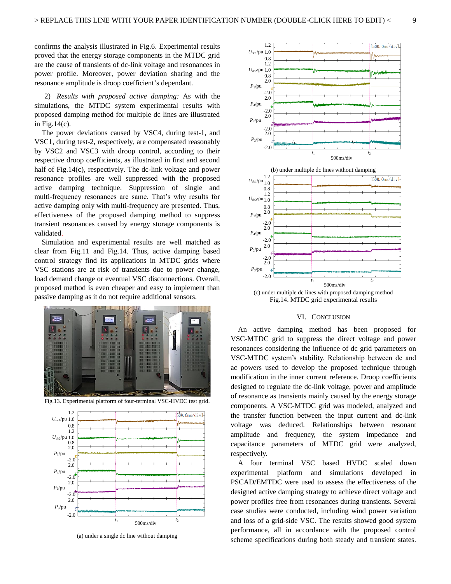confirms the analysis illustrated in [Fig.6.](#page-3-1) Experimental results proved that the energy storage components in the MTDC grid are the cause of transients of dc-link voltage and resonances in power profile. Moreover, power deviation sharing and the resonance amplitude is droop coefficient's dependant.

2) *Results with proposed active damping:* As with the simulations, the MTDC system experimental results with proposed damping method for multiple dc lines are illustrated in Fig.  $14(c)$ .

The power deviations caused by VSC4, during test-1, and VSC1, during test-2, respectively, are compensated reasonably by VSC2 and VSC3 with droop control, according to their respective droop coefficients, as illustrated in first and second half of Fig.14(c), respectively. The dc-link voltage and power resonance profiles are well suppressed with the proposed active damping technique. Suppression of single and multi-frequency resonances are same. That's why results for active damping only with multi-frequency are presented. Thus, effectiveness of the proposed damping method to suppress transient resonances caused by energy storage components is validated.

Simulation and experimental results are well matched as clear from Fig.11 and Fig.14. Thus, active damping based control strategy find its applications in MTDC grids where VSC stations are at risk of transients due to power change, load demand change or eventual VSC disconnections. Overall, proposed method is even cheaper and easy to implement than passive damping as it do not require additional sensors.











<span id="page-8-0"></span>Fig.14. MTDC grid experimental results

## VI. CONCLUSION

An active damping method has been proposed for VSC-MTDC grid to suppress the direct voltage and power resonances considering the influence of dc grid parameters on VSC-MTDC system's stability. Relationship between dc and ac powers used to develop the proposed technique through modification in the inner current reference. Droop coefficients designed to regulate the dc-link voltage, power and amplitude of resonance as transients mainly caused by the energy storage components. A VSC-MTDC grid was modeled, analyzed and the transfer function between the input current and dc-link voltage was deduced. Relationships between resonant amplitude and frequency, the system impedance and capacitance parameters of MTDC grid were analyzed, respectively.

A four terminal VSC based HVDC scaled down experimental platform and simulations developed in PSCAD/EMTDC were used to assess the effectiveness of the designed active damping strategy to achieve direct voltage and power profiles free from resonances during transients. Several case studies were conducted, including wind power variation and loss of a grid-side VSC. The results showed good system performance, all in accordance with the proposed control scheme specifications during both steady and transient states.